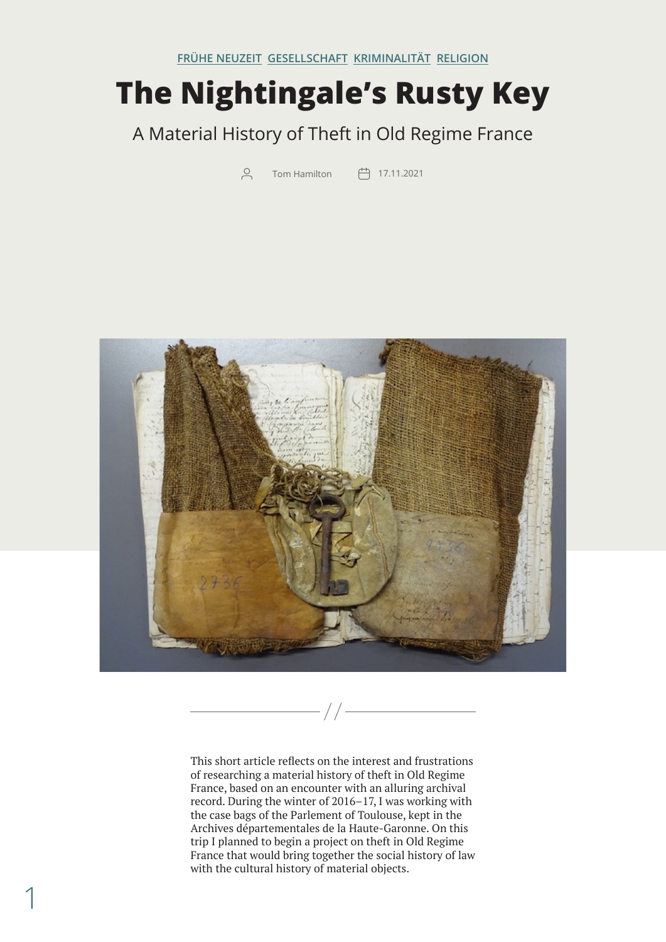## **The Nightingale's Rusty Key**

## A Material History of Theft in Old Regime France

 $\beta$  Tom Hamilton  $\Box$  17.11.2021



 $//$ 

This short article reflects on the interest and frustrations of researching a material history of theft in Old Regime France, based on an encounter with an alluring archival record. During the winter of 2016–17, I was working with the case bags of the Parlement of Toulouse, kept in the Archives départementales de la Haute-Garonne. On this trip I planned to begin a project on theft in Old Regime France that would bring together the social history of law with the cultural history of material objects.

1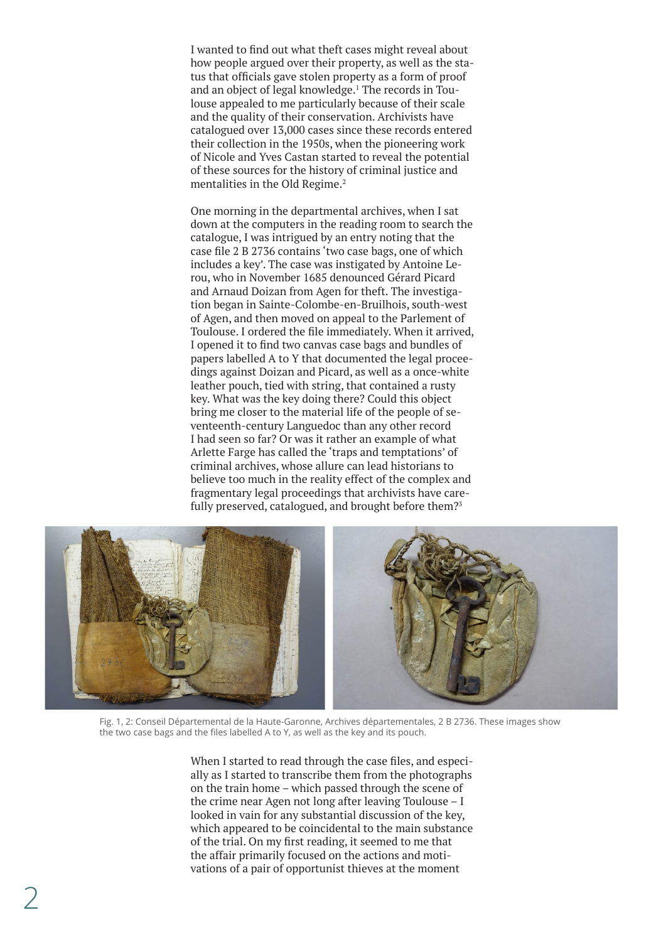<span id="page-1-0"></span>I wanted to find out what theft cases might reveal about how people argued over their property, as well as the status that officials gave stolen property as a form of proof and an object of legal knowledge.<sup>1</sup> The records in Toulouse appealed to me particularly because of their scale and the quality of their conservation. Archivists have catalogued over 13,000 cases since these records entered their collection in the 1950s, when the pioneering work of Nicole and Yves Castan started to reveal the potential of these sources for the history of criminal justice and mentalities in the Old Regime.<sup>2</sup>

One morning in the departmental archives, when I sat down at the computers in the reading room to search the catalogue, I was intrigued by an entry noting that the case file 2 B 2736 contains 'two case bags, one of which includes a key'. The case was instigated by Antoine Lerou, who in November 1685 denounced Gérard Picard and Arnaud Doizan from Agen for theft. The investigation began in Sainte-Colombe-en-Bruilhois, south-west of Agen, and then moved on appeal to the Parlement of Toulouse. I ordered the file immediately. When it arrived, I opened it to find two canvas case bags and bundles of papers labelled A to Y that documented the legal proceedings against Doizan and Picard, as well as a once-white leather pouch, tied with string, that contained a rusty key. What was the key doing there? Could this object bring me closer to the material life of the people of seventeenth-century Languedoc than any other record I had seen so far? Or was it rather an example of what Arlette Farge has called the 'traps and temptations' of criminal archives, whose allure can lead historians to believe too much in the reality effect of the complex and fragmentary legal proceedings that archivists have carefully preserved, catalogued, and brought before them?<sup>3</sup>



Fig. 1, 2: Conseil Départemental de la Haute-Garonne, Archives départementales, 2 B 2736. These images show the two case bags and the files labelled A to Y, as well as the key and its pouch.

When I started to read through the case files, and especially as I started to transcribe them from the photographs on the train home – which passed through the scene of the crime near Agen not long after leaving Toulouse – I looked in vain for any substantial discussion of the key, which appeared to be coincidental to the main substance of the trial. On my first reading, it seemed to me that the affair primarily focused on the actions and motivations of a pair of opportunist thieves at the moment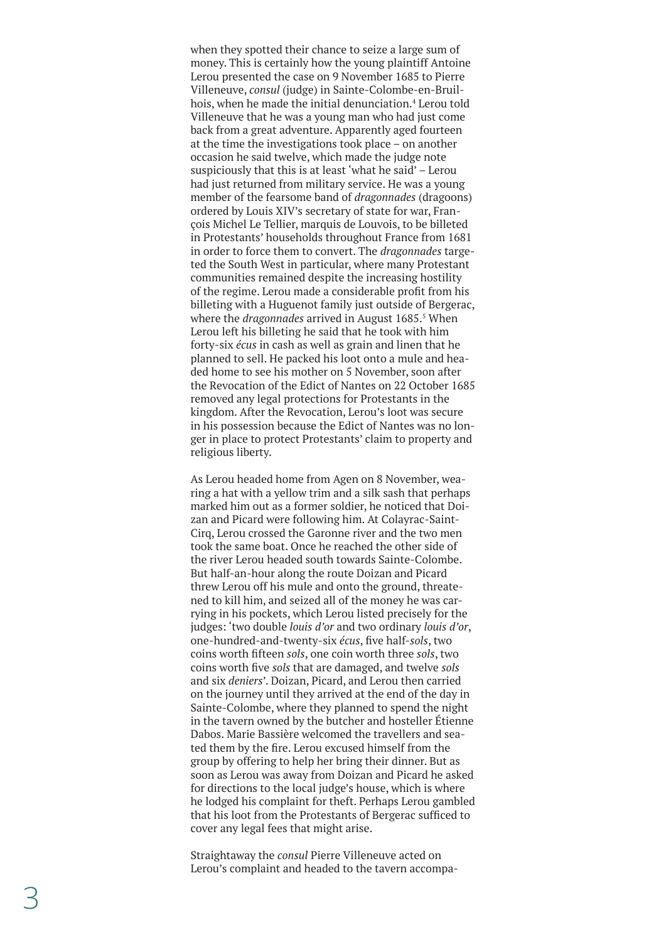<span id="page-2-0"></span>when they spotted their chance to seize a large sum of money. This is certainly how the young plaintiff Antoine Lerou presented the case on 9 November 1685 to Pierre Villeneuve, *consul* (judge) in Sainte-Colombe-en-Bruil hois, when he made the initial denunciation. [4](#page-6-0) Lerou told Villeneuve that he was a young man who had just come back from a great adventure. Apparently aged fourteen at the time the investigations took place – on another occasion he said twelve, which made the judge note suspiciously that this is at least 'what he said' – Lerou had just returned from military service. He was a young member of the fearsome band of *dragonnades* (dragoons) ordered by Louis XIV's secretary of state for war, Fran çois Michel Le Tellier, marquis de Louvois, to be billeted in Protestants' households throughout France from 1681 in order to force them to convert. The *dragonnades* targe ted the South West in particular, where many Protestant communities remained despite the increasing hostility of the regime. Lerou made a considerable profit from his billeting with a Huguenot family just outside of Bergerac, where the *dragonnades* arrived in August 1685. [5](#page-7-0) When Lerou left his billeting he said that he took with him forty-six *écus* in cash as well as grain and linen that he planned to sell. He packed his loot onto a mule and hea ded home to see his mother on 5 November, soon after the Revocation of the Edict of Nantes on 22 October 1685 removed any legal protections for Protestants in the kingdom. After the Revocation, Lerou's loot was secure in his possession because the Edict of Nantes was no lon ger in place to protect Protestants' claim to property and religious liberty.

As Lerou headed home from Agen on 8 November, wea ring a hat with a yellow trim and a silk sash that perhaps marked him out as a former soldier, he noticed that Doi zan and Picard were following him. At Colayrac-Saint-Cirq, Lerou crossed the Garonne river and the two men took the same boat. Once he reached the other side of the river Lerou headed south towards Sainte-Colombe. But half-an-hour along the route Doizan and Picard threw Lerou off his mule and onto the ground, threate ned to kill him, and seized all of the money he was car rying in his pockets, which Lerou listed precisely for the judges: 'two double *louis d'or* and two ordinary *louis d'or*, one-hundred-and-twenty-six *écus*, five half-*sols*, two coins worth fifteen *sols*, one coin worth three *sols*, two coins worth five *sols* that are damaged, and twelve *sols* and six *deniers*'. Doizan, Picard, and Lerou then carried on the journey until they arrived at the end of the day in Sainte-Colombe, where they planned to spend the night in the tavern owned by the butcher and hosteller Étienne Dabos. Marie Bassière welcomed the travellers and sea ted them by the fire. Lerou excused himself from the group by offering to help her bring their dinner. But as soon as Lerou was away from Doizan and Picard he asked for directions to the local judge's house, which is where he lodged his complaint for theft. Perhaps Lerou gambled that his loot from the Protestants of Bergerac sufficed to cover any legal fees that might arise.

Straightaway the *consul* Pierre Villeneuve acted on Lerou's complaint and headed to the tavern accompa -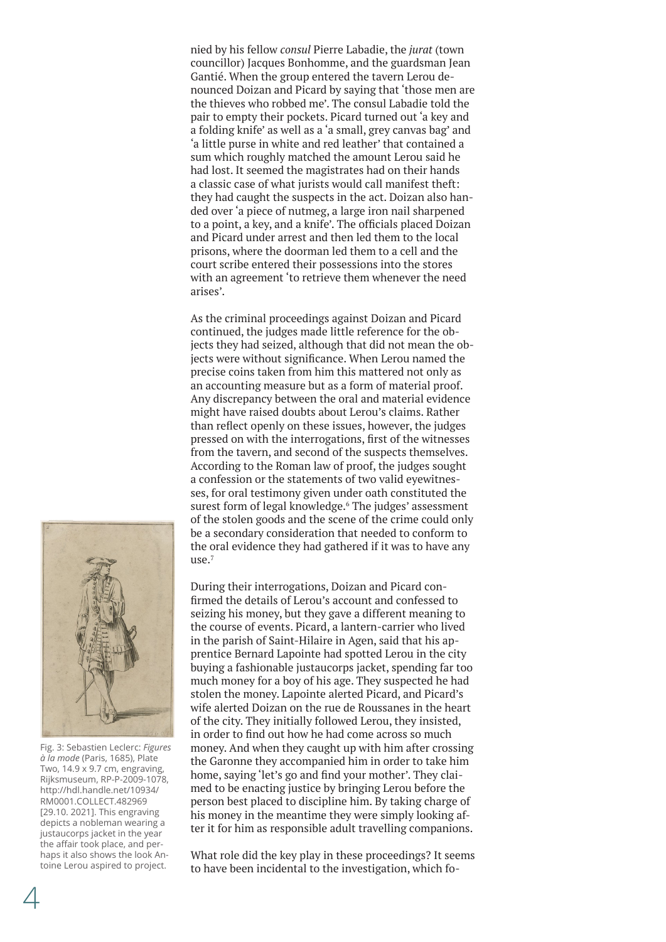<span id="page-3-0"></span>nied by his fellow *consul* Pierre Labadie, the *jurat* (town councillor) Jacques Bonhomme, and the guardsman Jean Gantié. When the group entered the tavern Lerou denounced Doizan and Picard by saying that 'those men are the thieves who robbed me'. The consul Labadie told the pair to empty their pockets. Picard turned out 'a key and a folding knife' as well as a 'a small, grey canvas bag' and 'a little purse in white and red leather' that contained a sum which roughly matched the amount Lerou said he had lost. It seemed the magistrates had on their hands a classic case of what jurists would call manifest theft: they had caught the suspects in the act. Doizan also handed over 'a piece of nutmeg, a large iron nail sharpened to a point, a key, and a knife'. The officials placed Doizan and Picard under arrest and then led them to the local prisons, where the doorman led them to a cell and the court scribe entered their possessions into the stores with an agreement 'to retrieve them whenever the need arises'.

As the criminal proceedings against Doizan and Picard continued, the judges made little reference for the objects they had seized, although that did not mean the objects were without significance. When Lerou named the precise coins taken from him this mattered not only as an accounting measure but as a form of material proof. Any discrepancy between the oral and material evidence might have raised doubts about Lerou's claims. Rather than reflect openly on these issues, however, the judges pressed on with the interrogations, first of the witnesses from the tavern, and second of the suspects themselves. According to the Roman law of proof, the judges sought a confession or the statements of two valid eyewitnesses, for oral testimony given under oath constituted the surest form of legal knowledge.<sup>6</sup> The judges' assessment of the stolen goods and the scene of the crime could only be a secondary consideration that needed to conform to the oral evidence they had gathered if it was to have any  $11$ Se $^7$ 



Fig. 3: Sebastien Leclerc: *Figures à la mode* (Paris, 1685), Plate Two, 14.9 x 9.7 cm, engraving, Rijksmuseum, RP-P-2009-1078, [http://hdl.handle.net/10934/](http://hdl.handle.net/10934/RM0001.COLLECT.482969) [RM0001.COLLECT.482969](http://hdl.handle.net/10934/RM0001.COLLECT.482969) [29.10. 2021]. This engraving depicts a nobleman wearing a justaucorps jacket in the year the affair took place, and perhaps it also shows the look Antoine Lerou aspired to project.

During their interrogations, Doizan and Picard confirmed the details of Lerou's account and confessed to seizing his money, but they gave a different meaning to the course of events. Picard, a lantern-carrier who lived in the parish of Saint-Hilaire in Agen, said that his apprentice Bernard Lapointe had spotted Lerou in the city buying a fashionable justaucorps jacket, spending far too much money for a boy of his age. They suspected he had stolen the money. Lapointe alerted Picard, and Picard's wife alerted Doizan on the rue de Roussanes in the heart of the city. They initially followed Lerou, they insisted, in order to find out how he had come across so much money. And when they caught up with him after crossing the Garonne they accompanied him in order to take him home, saying 'let's go and find your mother'. They claimed to be enacting justice by bringing Lerou before the person best placed to discipline him. By taking charge of his money in the meantime they were simply looking after it for him as responsible adult travelling companions.

What role did the key play in these proceedings? It seems to have been incidental to the investigation, which fo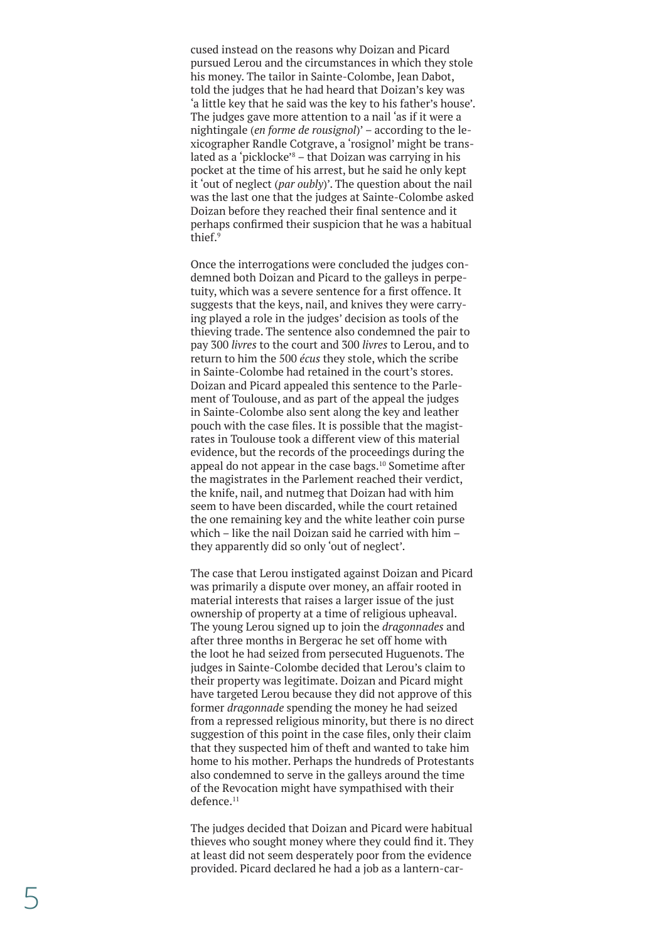<span id="page-4-0"></span>cused instead on the reasons why Doizan and Picard pursued Lerou and the circumstances in which they stole his money. The tailor in Sainte-Colombe, Jean Dabot, told the judges that he had heard that Doizan's key was 'a little key that he said was the key to his father's house'. The judges gave more attention to a nail 'as if it were a nightingale (*en forme de rousignol*)' – according to the le xicographer Randle Cotgrave, a 'rosignol' might be trans lated as a 'picklocke' [8](#page-7-0) – that Doizan was carrying in his pocket at the time of his arrest, but he said he only kept it 'out of neglect (*par oubly*)'. The question about the nail was the last one that the judges at Sainte-Colombe asked Doizan before they reached their final sentence and it perhaps confirmed their suspicion that he was a habitual thief. [9](#page-7-0)

Once the interrogations were concluded the judges con demned both Doizan and Picard to the galleys in perpe tuity, which was a severe sentence for a first offence. It suggests that the keys, nail, and knives they were carry ing played a role in the judges' decision as tools of the thieving trade. The sentence also condemned the pair to pay 300 *livres* to the court and 300 *livres* to Lerou, and to return to him the 500 *écus* they stole, which the scribe in Sainte-Colombe had retained in the court's stores. Doizan and Picard appealed this sentence to the Parle ment of Toulouse, and as part of the appeal the judges in Sainte-Colombe also sent along the key and leather pouch with the case files. It is possible that the magist rates in Toulouse took a different view of this material evidence, but the records of the proceedings during the appeal do not appear in the case bags.<sup>[10](#page-7-0)</sup> Sometime after the magistrates in the Parlement reached their verdict, the knife, nail, and nutmeg that Doizan had with him seem to have been discarded, while the court retained the one remaining key and the white leather coin purse which – like the nail Doizan said he carried with him – they apparently did so only 'out of neglect'.

The case that Lerou instigated against Doizan and Picard was primarily a dispute over money, an affair rooted in material interests that raises a larger issue of the just ownership of property at a time of religious upheaval. The young Lerou signed up to join the *dragonnades* and after three months in Bergerac he set off home with the loot he had seized from persecuted Huguenots. The judges in Sainte-Colombe decided that Lerou's claim to their property was legitimate. Doizan and Picard might have targeted Lerou because they did not approve of this former *dragonnade* spending the money he had seized from a repressed religious minority, but there is no direct suggestion of this point in the case files, only their claim that they suspected him of theft and wanted to take him home to his mother. Perhaps the hundreds of Protestants also condemned to serve in the galleys around the time of the Revocation might have sympathised with their defence.[11](#page-7-0)

The judges decided that Doizan and Picard were habitual thieves who sought money where they could find it. They at least did not seem desperately poor from the evidence provided. Picard declared he had a job as a lantern-car -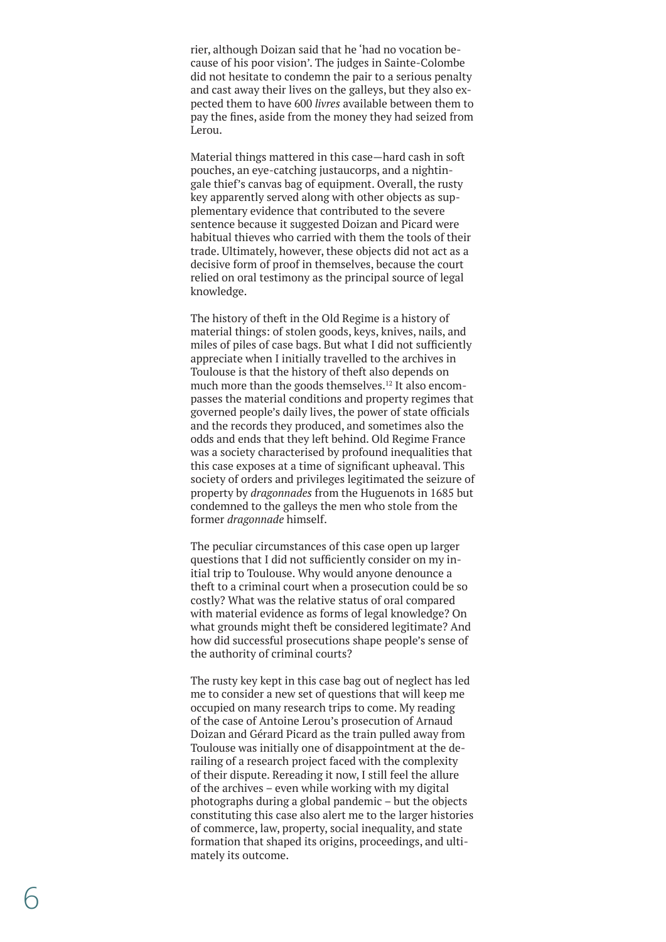<span id="page-5-0"></span>rier, although Doizan said that he 'had no vocation be cause of his poor vision'. The judges in Sainte-Colombe did not hesitate to condemn the pair to a serious penalty and cast away their lives on the galleys, but they also ex pected them to have 600 *livres* available between them to pay the fines, aside from the money they had seized from Lerou.

Material things mattered in this case—hard cash in soft pouches, an eye-catching justaucorps, and a nightin gale thief's canvas bag of equipment. Overall, the rusty key apparently served along with other objects as sup plementary evidence that contributed to the severe sentence because it suggested Doizan and Picard were habitual thieves who carried with them the tools of their trade. Ultimately, however, these objects did not act as a decisive form of proof in themselves, because the court relied on oral testimony as the principal source of legal knowledge.

The history of theft in the Old Regime is a history of material things: of stolen goods, keys, knives, nails, and miles of piles of case bags. But what I did not sufficiently appreciate when I initially travelled to the archives in Toulouse is that the history of theft also depends on much more than the goods themselves.<sup>12</sup> It also encompasses the material conditions and property regimes that governed people's daily lives, the power of state officials and the records they produced, and sometimes also the odds and ends that they left behind. Old Regime France was a society characterised by profound inequalities that this case exposes at a time of significant upheaval. This society of orders and privileges legitimated the seizure of property by *dragonnades* from the Huguenots in 1685 but condemned to the galleys the men who stole from the former *dragonnade* himself.

The peculiar circumstances of this case open up larger questions that I did not sufficiently consider on my in itial trip to Toulouse. Why would anyone denounce a theft to a criminal court when a prosecution could be so costly? What was the relative status of oral compared with material evidence as forms of legal knowledge? On what grounds might theft be considered legitimate? And how did successful prosecutions shape people's sense of the authority of criminal courts?

The rusty key kept in this case bag out of neglect has led me to consider a new set of questions that will keep me occupied on many research trips to come. My reading of the case of Antoine Lerou's prosecution of Arnaud Doizan and Gérard Picard as the train pulled away from Toulouse was initially one of disappointment at the de railing of a research project faced with the complexity of their dispute. Rereading it now, I still feel the allure of the archives – even while working with my digital photographs during a global pandemic – but the objects constituting this case also alert me to the larger histories of commerce, law, property, social inequality, and state formation that shaped its origins, proceedings, and ulti mately its outcome.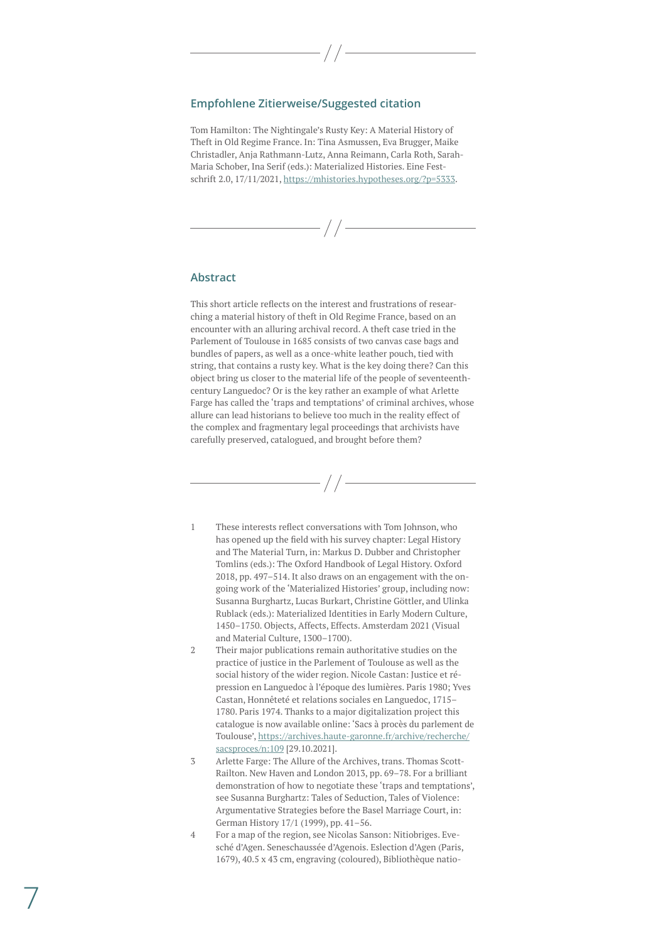## <span id="page-6-0"></span>**Empfohlene Zitierweise/Suggested citation**

Tom Hamilton: The Nightingale's Rusty Key: A Material History of Theft in Old Regime France. In: Tina Asmussen, Eva Brugger, Maike Christadler, Anja Rathmann-Lutz, Anna Reimann, Carla Roth, Sarah-Maria Schober, Ina Serif (eds.): Materialized Histories. Eine Festschrift 2.0, 17/11/2021, [https://mhistories.hypotheses.org/?p=5333.](https://mhistories.hypotheses.org/?p=5333)

## **Abstract**

This short article reflects on the interest and frustrations of researching a material history of theft in Old Regime France, based on an encounter with an alluring archival record. A theft case tried in the Parlement of Toulouse in 1685 consists of two canvas case bags and bundles of papers, as well as a once-white leather pouch, tied with string, that contains a rusty key. What is the key doing there? Can this object bring us closer to the material life of the people of seventeenthcentury Languedoc? Or is the key rather an example of what Arlette Farge has called the 'traps and temptations' of criminal archives, whose allure can lead historians to believe too much in the reality effect of the complex and fragmentary legal proceedings that archivists have carefully preserved, catalogued, and brought before them?

- [1](#page-1-0) These interests reflect conversations with Tom Johnson, who has opened up the field with his survey chapter: Legal History and The Material Turn, in: Markus D. Dubber and Christopher Tomlins (eds.): The Oxford Handbook of Legal History. Oxford 2018, pp. 497–514. It also draws on an engagement with the ongoing work of the 'Materialized Histories' group, including now: Susanna Burghartz, Lucas Burkart, Christine Göttler, and Ulinka Rublack (eds.): Materialized Identities in Early Modern Culture, 1450–1750. Objects, Affects, Effects. Amsterdam 2021 (Visual and Material Culture, 1300–1700).
- [2](#page-1-0) Their major publications remain authoritative studies on the practice of justice in the Parlement of Toulouse as well as the social history of the wider region. Nicole Castan: Justice et répression en Languedoc à l'époque des lumières. Paris 1980; Yves Castan, Honnêteté et relations sociales en Languedoc, 1715– 1780. Paris 1974. Thanks to a major digitalization project this catalogue is now available online: 'Sacs à procès du parlement de Toulouse', [https://archives.haute-garonne.fr/archive/recherche/](https://archives.haute-garonne.fr/archive/recherche/sacsproces/n:109) [sacsproces/n:109](https://archives.haute-garonne.fr/archive/recherche/sacsproces/n:109) [29.10.2021].
- [3](#page-1-0) Arlette Farge: The Allure of the Archives, trans. Thomas Scott-Railton. New Haven and London 2013, pp. 69–78. For a brilliant demonstration of how to negotiate these 'traps and temptations', see Susanna Burghartz: Tales of Seduction, Tales of Violence: Argumentative Strategies before the Basel Marriage Court, in: German History 17/1 (1999), pp. 41–56.
- [4](#page-2-0) For a map of the region, see Nicolas Sanson: Nitiobriges. Evesché d'Agen. Seneschaussée d'Agenois. Eslection d'Agen (Paris, 1679), 40.5 x 43 cm, engraving (coloured), Bibliothèque natio-